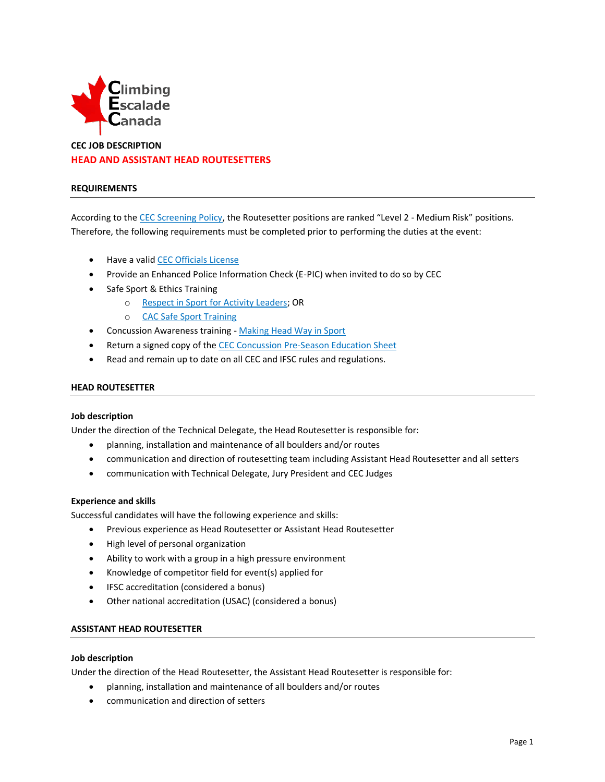

# **CEC JOB DESCRIPTION HEAD AND ASSISTANT HEAD ROUTESETTERS**

### **REQUIREMENTS**

According to the [CEC Screening Policy](http://climbingcanada.ca/wp-content/uploads/2020/09/CEC-SP-06-Screening-Policy.pdf), the Routesetter positions are ranked "Level 2 - Medium Risk" positions. Therefore, the following requirements must be completed prior to performing the duties at the event:

- Have a valid CEC [Officials](https://member.climbingcanada.ca/login) License
- Provide an Enhanced Police Information Check (E-PIC) when invited to do so by CEC
- Safe Sport & Ethics Training
	- o Respect in Sport [for Activity Leaders;](https://climbing-escalade-canada-al.respectgroupinc.com/) OR
	- o [CAC Safe Sport Training](https://safesport.coach.ca/)
- Concussion Awareness training [Making Head Way in Sport](https://coach.ca/making-head-way-concussion-elearning-series)
- Return a signed copy of th[e CEC Concussion Pre-Season Education Sheet](https://www.climbingcanada.ca/wp-content/uploads/2020/12/CEC-PreSeason-Education-Sheet-Parachute-ENG.pdf)
- Read and remain up to date on all CEC and IFSC rules and regulations.

### **HEAD ROUTESETTER**

#### **Job description**

Under the direction of the Technical Delegate, the Head Routesetter is responsible for:

- planning, installation and maintenance of all boulders and/or routes
- communication and direction of routesetting team including Assistant Head Routesetter and all setters
- communication with Technical Delegate, Jury President and CEC Judges

#### **Experience and skills**

Successful candidates will have the following experience and skills:

- Previous experience as Head Routesetter or Assistant Head Routesetter
- High level of personal organization
- Ability to work with a group in a high pressure environment
- Knowledge of competitor field for event(s) applied for
- IFSC accreditation (considered a bonus)
- Other national accreditation (USAC) (considered a bonus)

# **ASSISTANT HEAD ROUTESETTER**

#### **Job description**

Under the direction of the Head Routesetter, the Assistant Head Routesetter is responsible for:

- planning, installation and maintenance of all boulders and/or routes
- communication and direction of setters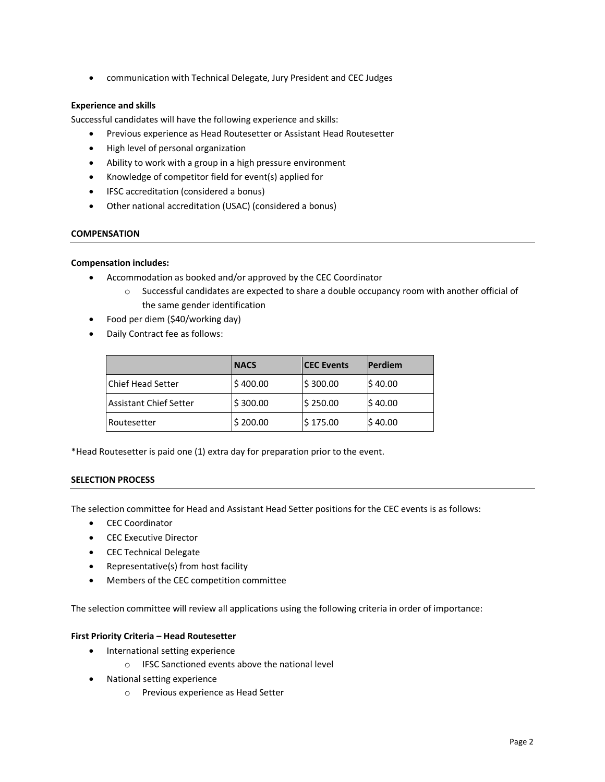• communication with Technical Delegate, Jury President and CEC Judges

# **Experience and skills**

Successful candidates will have the following experience and skills:

- Previous experience as Head Routesetter or Assistant Head Routesetter
- High level of personal organization
- Ability to work with a group in a high pressure environment
- Knowledge of competitor field for event(s) applied for
- IFSC accreditation (considered a bonus)
- Other national accreditation (USAC) (considered a bonus)

### **COMPENSATION**

### **Compensation includes:**

- Accommodation as booked and/or approved by the CEC Coordinator
	- o Successful candidates are expected to share a double occupancy room with another official of the same gender identification
- Food per diem (\$40/working day)
- Daily Contract fee as follows:

|                        | <b>NACS</b> | <b>CEC Events</b> | <b>Perdiem</b> |
|------------------------|-------------|-------------------|----------------|
| l Chief Head Setter    | \$400.00    | \$300.00          | \$40.00        |
| Assistant Chief Setter | \$300.00    | \$250.00          | \$40.00        |
| l Routesetter          | \$200.00    | \$175.00          | \$40.00        |

\*Head Routesetter is paid one (1) extra day for preparation prior to the event.

## **SELECTION PROCESS**

The selection committee for Head and Assistant Head Setter positions for the CEC events is as follows:

- CEC Coordinator
- CEC Executive Director
- CEC Technical Delegate
- Representative(s) from host facility
- Members of the CEC competition committee

The selection committee will review all applications using the following criteria in order of importance:

## **First Priority Criteria – Head Routesetter**

- International setting experience
	- o IFSC Sanctioned events above the national level
- National setting experience
	- o Previous experience as Head Setter